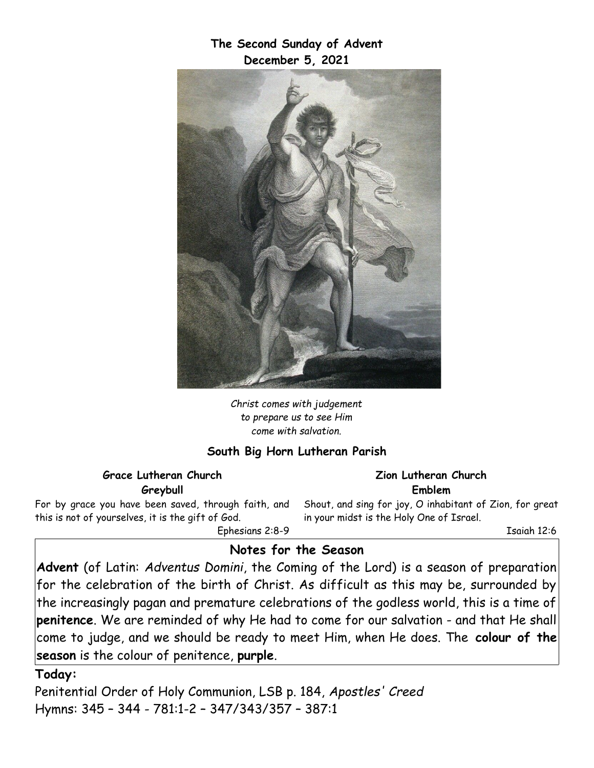**The Second Sunday of Advent December 5, 2021**



*Christ comes with judgement to prepare us to see Him come with salvation.*

#### **South Big Horn Lutheran Parish**

**Grace Lutheran Church Greybull**

For by grace you have been saved, through faith, and this is not of yourselves, it is the gift of God. Ephesians 2:8-9

**Zion Lutheran Church Emblem**

Shout, and sing for joy, O inhabitant of Zion, for great in your midst is the Holy One of Israel.

Isaiah 12:6

### **Notes for the Season**

**Advent** (of Latin: *Adventus Domini*, the Coming of the Lord) is a season of preparation for the celebration of the birth of Christ. As difficult as this may be, surrounded by the increasingly pagan and premature celebrations of the godless world, this is a time of **penitence**. We are reminded of why He had to come for our salvation - and that He shall come to judge, and we should be ready to meet Him, when He does. The **colour of the season** is the colour of penitence, **purple**.

#### **Today:**

Penitential Order of Holy Communion, LSB p. 184, *Apostles' Creed* Hymns: 345 – 344 - 781:1-2 – 347/343/357 – 387:1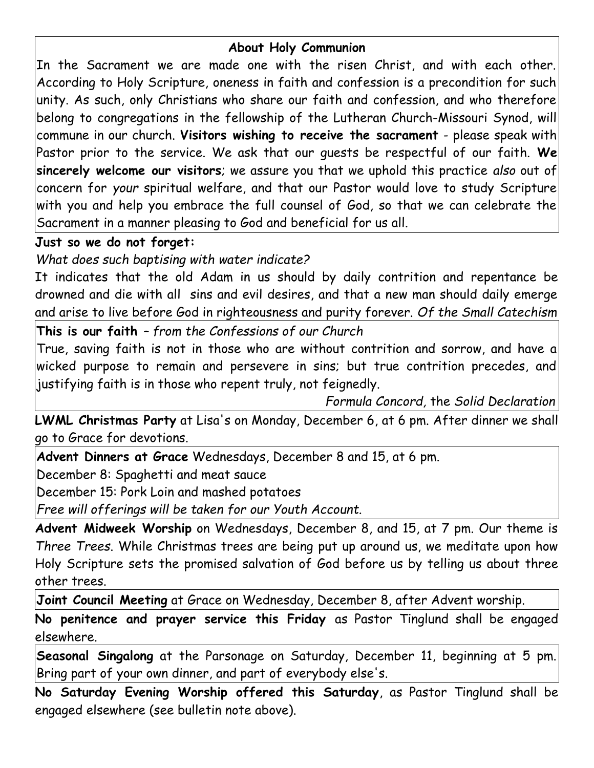### **About Holy Communion**

In the Sacrament we are made one with the risen Christ, and with each other. According to Holy Scripture, oneness in faith and confession is a precondition for such unity. As such, only Christians who share our faith and confession, and who therefore belong to congregations in the fellowship of the Lutheran Church-Missouri Synod, will commune in our church. **Visitors wishing to receive the sacrament** - please speak with Pastor prior to the service. We ask that our guests be respectful of our faith. **We sincerely welcome our visitors**; we assure you that we uphold this practice *also* out of concern for *your* spiritual welfare, and that our Pastor would love to study Scripture with you and help you embrace the full counsel of God, so that we can celebrate the Sacrament in a manner pleasing to God and beneficial for us all.

## **Just so we do not forget:**

*What does such baptising with water indicate?*

It indicates that the old Adam in us should by daily contrition and repentance be drowned and die with all sins and evil desires, and that a new man should daily emerge and arise to live before God in righteousness and purity forever. *Of the Small Catechism*

**This is our faith** *– from the Confessions of our Church*

True, saving faith is not in those who are without contrition and sorrow, and have a wicked purpose to remain and persevere in sins; but true contrition precedes, and justifying faith is in those who repent truly, not feignedly.

*Formula Concord,* the *Solid Declaration*

**LWML Christmas Party** at Lisa's on Monday, December 6, at 6 pm. After dinner we shall go to Grace for devotions.

**Advent Dinners at Grace** Wednesdays, December 8 and 15, at 6 pm.

December 8: Spaghetti and meat sauce

December 15: Pork Loin and mashed potatoes

*Free will offerings will be taken for our Youth Account.*

**Advent Midweek Worship** on Wednesdays, December 8, and 15, at 7 pm. Our theme is *Three Trees*. While Christmas trees are being put up around us, we meditate upon how Holy Scripture sets the promised salvation of God before us by telling us about three other trees.

**Joint Council Meeting** at Grace on Wednesday, December 8, after Advent worship.

**No penitence and prayer service this Friday** as Pastor Tinglund shall be engaged elsewhere.

**Seasonal Singalong** at the Parsonage on Saturday, December 11, beginning at 5 pm. Bring part of your own dinner, and part of everybody else's.

**No Saturday Evening Worship offered this Saturday**, as Pastor Tinglund shall be engaged elsewhere (see bulletin note above).